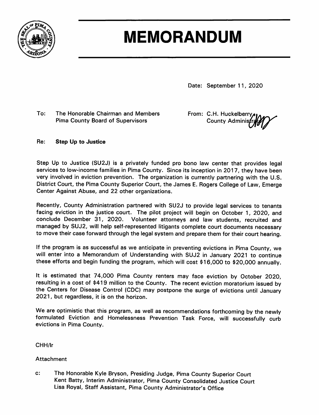

# **MEMORANDUM**

Date: September 11, 2020

To: The Honorable Chairman and Members **Pima County Board of Supervisors** 

From: C.H. Huckelberry **County Adminis** 

#### Re: **Step Up to Justice**

Step Up to Justice (SU2J) is a privately funded pro bono law center that provides legal services to low-income families in Pima County. Since its inception in 2017, they have been very involved in eviction prevention. The organization is currently partnering with the U.S. District Court, the Pima County Superior Court, the James E. Rogers College of Law, Emerge Center Against Abuse, and 22 other organizations.

Recently, County Administration partnered with SU2J to provide legal services to tenants facing eviction in the justice court. The pilot project will begin on October 1, 2020, and conclude December 31, 2020. Volunteer attorneys and law students, recruited and managed by SUJ2, will help self-represented litigants complete court documents necessary to move their case forward through the legal system and prepare them for their court hearing.

If the program is as successful as we anticipate in preventing evictions in Pima County, we will enter into a Memorandum of Understanding with SUJ2 in January 2021 to continue these efforts and begin funding the program, which will cost \$16,000 to \$20,000 annually.

It is estimated that 74,000 Pima County renters may face eviction by October 2020, resulting in a cost of \$419 million to the County. The recent eviction moratorium issued by the Centers for Disease Control (CDC) may postpone the surge of evictions until January 2021, but regardless, it is on the horizon.

We are optimistic that this program, as well as recommendations forthcoming by the newly formulated Eviction and Homelessness Prevention Task Force, will successfully curb evictions in Pima County.

CHH/lr

### Attachment

 $\mathbf{c}$ : The Honorable Kyle Bryson, Presiding Judge, Pima County Superior Court Kent Batty, Interim Administrator, Pima County Consolidated Justice Court Lisa Royal, Staff Assistant, Pima County Administrator's Office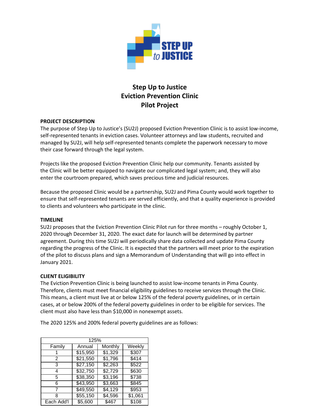

## **Step Up to Justice Eviction Prevention Clinic Pilot Project**

#### **PROJECT DESCRIPTION**

The purpose of Step Up to Justice's (SU2J) proposed Eviction Prevention Clinic is to assist low-income, self-represented tenants in eviction cases. Volunteer attorneys and law students, recruited and managed by SU2J, will help self-represented tenants complete the paperwork necessary to move their case forward through the legal system.

Projects like the proposed Eviction Prevention Clinic help our community. Tenants assisted by the Clinic will be better equipped to navigate our complicated legal system; and, they will also enter the courtroom prepared, which saves precious time and judicial resources.

Because the proposed Clinic would be a partnership, SU2J and Pima County would work together to ensure that self-represented tenants are served efficiently, and that a quality experience is provided to clients and volunteers who participate in the clinic.

#### **TIMELINE**

SU2J proposes that the Eviction Prevention Clinic Pilot run for three months – roughly October 1, 2020 through December 31, 2020. The exact date for launch will be determined by partner agreement. During this time SU2J will periodically share data collected and update Pima County regarding the progress of the Clinic. It is expected that the partners will meet prior to the expiration of the pilot to discuss plans and sign a Memorandum of Understanding that will go into effect in January 2021.

#### **CLIENT ELIGIBILITY**

The Eviction Prevention Clinic is being launched to assist low-income tenants in Pima County. Therefore, clients must meet financial eligibility guidelines to receive services through the Clinic. This means, a client must live at or below 125% of the federal poverty guidelines, or in certain cases, at or below 200% of the federal poverty guidelines in order to be eligible for services. The client must also have less than \$10,000 in nonexempt assets.

The 2020 125% and 200% federal poverty guidelines are as follows:

| 125%       |          |                 |         |  |
|------------|----------|-----------------|---------|--|
| Family     | Annual   | Monthly         | Weekly  |  |
|            | \$15,950 | \$1,329         | \$307   |  |
| 2          | \$21,550 | \$1,796         | \$414   |  |
| 3          | \$27,150 | \$2,263         | \$522   |  |
| 4          | \$32,750 | $\sqrt{$2,729}$ | \$630   |  |
| 5          | \$38,350 | \$3,196         | \$738   |  |
| 6          | \$43,950 | \$3,663         | \$845   |  |
|            | \$49,550 | \$4,129         | \$953   |  |
| 8          | \$55,150 | \$4,596         | \$1,061 |  |
| Each Add'l | \$5,600  | \$467           | \$108   |  |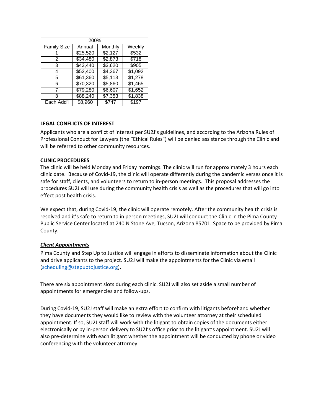| 200%        |          |         |                   |  |
|-------------|----------|---------|-------------------|--|
| Family Size | Annual   | Monthly | Weekly            |  |
|             | \$25,520 | \$2,127 | $\overline{$}532$ |  |
| 2           | \$34,480 | \$2,873 | \$718             |  |
| 3           | \$43,440 | \$3,620 | \$905             |  |
| 4           | \$52,400 | \$4,367 | \$1,092           |  |
| 5           | \$61,360 | \$5,113 | \$1,278           |  |
| 6           | \$70,320 | \$5,860 | \$1,465           |  |
|             | \$79,280 | \$6,607 | \$1,652           |  |
| 8           | \$88,240 | \$7,353 | \$1,838           |  |
| Each Add'l  | \$8,960  | \$747   | $\overline{$}197$ |  |

#### **LEGAL CONFLICTS OF INTEREST**

Applicants who are a conflict of interest per SU2J's guidelines, and according to the Arizona Rules of Professional Conduct for Lawyers (the "Ethical Rules") will be denied assistance through the Clinic and will be referred to other community resources.

#### **CLINIC PROCEDURES**

The clinic will be held Monday and Friday mornings. The clinic will run for approximately 3 hours each clinic date. Because of Covid-19, the clinic will operate differently during the pandemic verses once it is safe for staff, clients, and volunteers to return to in-person meetings. This proposal addresses the procedures SU2J will use during the community health crisis as well as the procedures that will go into effect post health crisis.

We expect that, during Covid-19, the clinic will operate remotely. After the community health crisis is resolved and it's safe to return to in person meetings, SU2J will conduct the Clinic in the Pima County Public Service Center located at 240 N Stone Ave, Tucson, Arizona 85701. Space to be provided by Pima County.

#### *Client Appointments*

Pima County and Step Up to Justice will engage in efforts to disseminate information about the Clinic and drive applicants to the project. SU2J will make the appointments for the Clinic via email [\(scheduling@stepuptojustice.org\)](mailto:scheduling@stepuptojustice.org).

There are six appointment slots during each clinic. SU2J will also set aside a small number of appointments for emergencies and follow-ups.

During Covid-19, SU2J staff will make an extra effort to confirm with litigants beforehand whether they have documents they would like to review with the volunteer attorney at their scheduled appointment. If so, SU2J staff will work with the litigant to obtain copies of the documents either electronically or by in-person delivery to SU2J's office prior to the litigant's appointment. SU2J will also pre-determine with each litigant whether the appointment will be conducted by phone or video conferencing with the volunteer attorney.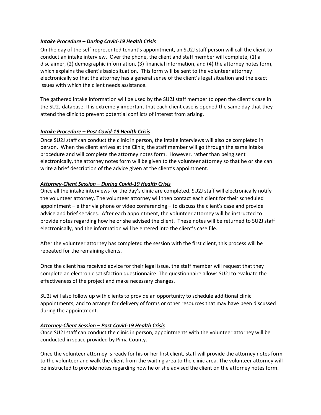#### *Intake Procedure – During Covid-19 Health Crisis*

On the day of the self-represented tenant's appointment, an SU2J staff person will call the client to conduct an intake interview. Over the phone, the client and staff member will complete, (1) a disclaimer, (2) demographic information, (3) financial information, and (4) the attorney notes form, which explains the client's basic situation. This form will be sent to the volunteer attorney electronically so that the attorney has a general sense of the client's legal situation and the exact issues with which the client needs assistance.

The gathered intake information will be used by the SU2J staff member to open the client's case in the SU2J database. It is extremely important that each client case is opened the same day that they attend the clinic to prevent potential conflicts of interest from arising.

#### *Intake Procedure – Post Covid-19 Health Crisis*

Once SU2J staff can conduct the clinic in person, the intake interviews will also be completed in person. When the client arrives at the Clinic, the staff member will go through the same intake procedure and will complete the attorney notes form. However, rather than being sent electronically, the attorney notes form will be given to the volunteer attorney so that he or she can write a brief description of the advice given at the client's appointment.

#### *Attorney-Client Session – During Covid-19 Health Crisis*

Once all the intake interviews for the day's clinic are completed, SU2J staff will electronically notify the volunteer attorney. The volunteer attorney will then contact each client for their scheduled appointment – either via phone or video conferencing – to discuss the client's case and provide advice and brief services. After each appointment, the volunteer attorney will be instructed to provide notes regarding how he or she advised the client. These notes will be returned to SU2J staff electronically, and the information will be entered into the client's case file.

After the volunteer attorney has completed the session with the first client, this process will be repeated for the remaining clients.

Once the client has received advice for their legal issue, the staff member will request that they complete an electronic satisfaction questionnaire. The questionnaire allows SU2J to evaluate the effectiveness of the project and make necessary changes.

SU2J will also follow up with clients to provide an opportunity to schedule additional clinic appointments, and to arrange for delivery of forms or other resources that may have been discussed during the appointment.

#### *Attorney-Client Session – Post Covid-19 Health Crisis*

Once SU2J staff can conduct the clinic in person, appointments with the volunteer attorney will be conducted in space provided by Pima County.

Once the volunteer attorney is ready for his or her first client, staff will provide the attorney notes form to the volunteer and walk the client from the waiting area to the clinic area. The volunteer attorney will be instructed to provide notes regarding how he or she advised the client on the attorney notes form.